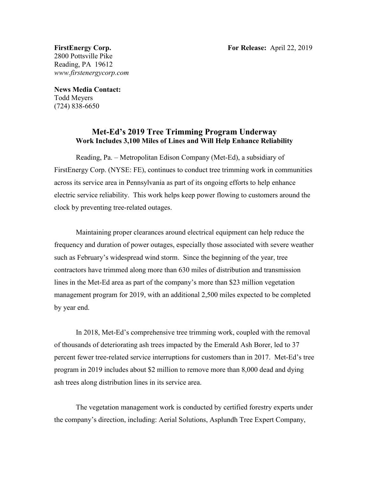2800 Pottsville Pike Reading, PA 19612 *www.firstenergycorp.com*

**News Media Contact:** Todd Meyers (724) 838-6650

## **Met-Ed's 2019 Tree Trimming Program Underway Work Includes 3,100 Miles of Lines and Will Help Enhance Reliability**

Reading, Pa. – Metropolitan Edison Company (Met-Ed), a subsidiary of FirstEnergy Corp. (NYSE: FE), continues to conduct tree trimming work in communities across its service area in Pennsylvania as part of its ongoing efforts to help enhance electric service reliability. This work helps keep power flowing to customers around the clock by preventing tree-related outages.

Maintaining proper clearances around electrical equipment can help reduce the frequency and duration of power outages, especially those associated with severe weather such as February's widespread wind storm. Since the beginning of the year, tree contractors have trimmed along more than 630 miles of distribution and transmission lines in the Met-Ed area as part of the company's more than \$23 million vegetation management program for 2019, with an additional 2,500 miles expected to be completed by year end.

In 2018, Met-Ed's comprehensive tree trimming work, coupled with the removal of thousands of deteriorating ash trees impacted by the Emerald Ash Borer, led to 37 percent fewer tree-related service interruptions for customers than in 2017. Met-Ed's tree program in 2019 includes about \$2 million to remove more than 8,000 dead and dying ash trees along distribution lines in its service area.

The vegetation management work is conducted by certified forestry experts under the company's direction, including: Aerial Solutions, Asplundh Tree Expert Company,